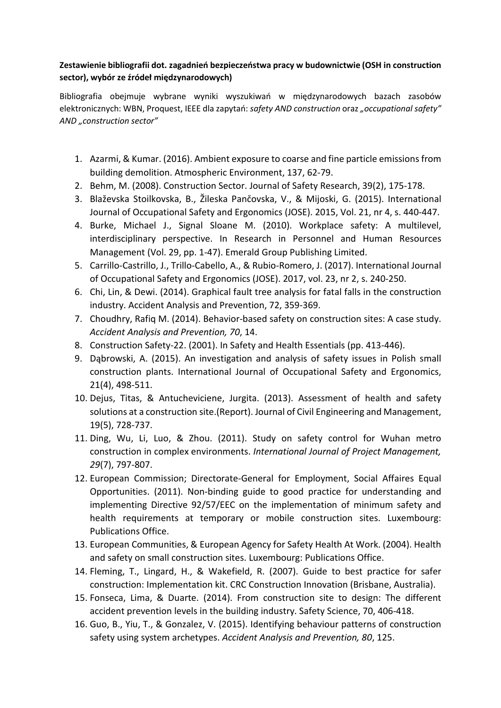## **Zestawienie bibliografii dot. zagadnień bezpieczeństwa pracy w budownictwie (OSH in construction sector), wybór ze źródeł międzynarodowych)**

Bibliografia obejmuje wybrane wyniki wyszukiwań w międzynarodowych bazach zasobów elektronicznych: WBN, Proquest, IEEE dla zapytań: *safety AND construction* oraz *"occupational safety" AND "construction sector"*

- 1. Azarmi, & Kumar. (2016). Ambient exposure to coarse and fine particle emissions from building demolition. Atmospheric Environment, 137, 62-79.
- 2. Behm, M. (2008). Construction Sector. Journal of Safety Research, 39(2), 175-178.
- 3. Blaževska Stoilkovska, B., Žileska Pančovska, V., & Mijoski, G. (2015). International Journal of Occupational Safety and Ergonomics (JOSE). 2015, Vol. 21, nr 4, s. 440-447.
- 4. Burke, Michael J., Signal Sloane M. (2010). Workplace safety: A multilevel, interdisciplinary perspective. In Research in Personnel and Human Resources Management (Vol. 29, pp. 1-47). Emerald Group Publishing Limited.
- 5. Carrillo-Castrillo, J., Trillo-Cabello, A., & Rubio-Romero, J. (2017). International Journal of Occupational Safety and Ergonomics (JOSE). 2017, vol. 23, nr 2, s. 240-250.
- 6. Chi, Lin, & Dewi. (2014). Graphical fault tree analysis for fatal falls in the construction industry. Accident Analysis and Prevention, 72, 359-369.
- 7. Choudhry, Rafiq M. (2014). Behavior-based safety on construction sites: A case study. *Accident Analysis and Prevention, 70*, 14.
- 8. Construction Safety-22. (2001). In Safety and Health Essentials (pp. 413-446).
- 9. Dąbrowski, A. (2015). An investigation and analysis of safety issues in Polish small construction plants. International Journal of Occupational Safety and Ergonomics, 21(4), 498-511.
- 10. Dejus, Titas, & Antucheviciene, Jurgita. (2013). Assessment of health and safety solutions at a construction site.(Report). Journal of Civil Engineering and Management, 19(5), 728-737.
- 11. Ding, Wu, Li, Luo, & Zhou. (2011). Study on safety control for Wuhan metro construction in complex environments. *International Journal of Project Management, 29*(7), 797-807.
- 12. European Commission; Directorate-General for Employment, Social Affaires Equal Opportunities. (2011). Non-binding guide to good practice for understanding and implementing Directive 92/57/EEC on the implementation of minimum safety and health requirements at temporary or mobile construction sites. Luxembourg: Publications Office.
- 13. European Communities, & European Agency for Safety Health At Work. (2004). Health and safety on small construction sites. Luxembourg: Publications Office.
- 14. Fleming, T., Lingard, H., & Wakefield, R. (2007). Guide to best practice for safer construction: Implementation kit. CRC Construction Innovation (Brisbane, Australia).
- 15. Fonseca, Lima, & Duarte. (2014). From construction site to design: The different accident prevention levels in the building industry. Safety Science, 70, 406-418.
- 16. Guo, B., Yiu, T., & Gonzalez, V. (2015). Identifying behaviour patterns of construction safety using system archetypes. *Accident Analysis and Prevention, 80*, 125.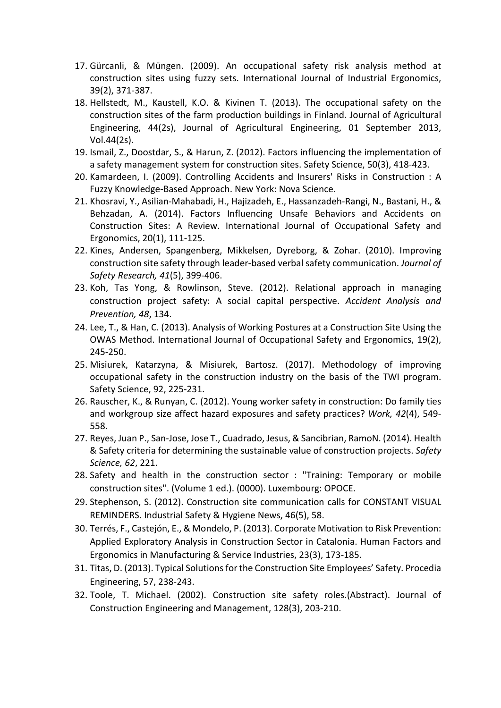- 17. Gürcanli, & Müngen. (2009). An occupational safety risk analysis method at construction sites using fuzzy sets. International Journal of Industrial Ergonomics, 39(2), 371-387.
- 18. Hellstedt, M., Kaustell, K.O. & Kivinen T. (2013). The occupational safety on the construction sites of the farm production buildings in Finland. Journal of Agricultural Engineering, 44(2s), Journal of Agricultural Engineering, 01 September 2013, Vol.44(2s).
- 19. Ismail, Z., Doostdar, S., & Harun, Z. (2012). Factors influencing the implementation of a safety management system for construction sites. Safety Science, 50(3), 418-423.
- 20. Kamardeen, I. (2009). Controlling Accidents and Insurers' Risks in Construction : A Fuzzy Knowledge-Based Approach. New York: Nova Science.
- 21. Khosravi, Y., Asilian-Mahabadi, H., Hajizadeh, E., Hassanzadeh-Rangi, N., Bastani, H., & Behzadan, A. (2014). Factors Influencing Unsafe Behaviors and Accidents on Construction Sites: A Review. International Journal of Occupational Safety and Ergonomics, 20(1), 111-125.
- 22. Kines, Andersen, Spangenberg, Mikkelsen, Dyreborg, & Zohar. (2010). Improving construction site safety through leader-based verbal safety communication. *Journal of Safety Research, 41*(5), 399-406.
- 23. Koh, Tas Yong, & Rowlinson, Steve. (2012). Relational approach in managing construction project safety: A social capital perspective. *Accident Analysis and Prevention, 48*, 134.
- 24. Lee, T., & Han, C. (2013). Analysis of Working Postures at a Construction Site Using the OWAS Method. International Journal of Occupational Safety and Ergonomics, 19(2), 245-250.
- 25. Misiurek, Katarzyna, & Misiurek, Bartosz. (2017). Methodology of improving occupational safety in the construction industry on the basis of the TWI program. Safety Science, 92, 225-231.
- 26. Rauscher, K., & Runyan, C. (2012). Young worker safety in construction: Do family ties and workgroup size affect hazard exposures and safety practices? *Work, 42*(4), 549- 558.
- 27. Reyes, Juan P., San-Jose, Jose T., Cuadrado, Jesus, & Sancibrian, RamoN. (2014). Health & Safety criteria for determining the sustainable value of construction projects. *Safety Science, 62*, 221.
- 28. Safety and health in the construction sector : "Training: Temporary or mobile construction sites". (Volume 1 ed.). (0000). Luxembourg: OPOCE.
- 29. Stephenson, S. (2012). Construction site communication calls for CONSTANT VISUAL REMINDERS. Industrial Safety & Hygiene News, 46(5), 58.
- 30. Terrés, F., Castejón, E., & Mondelo, P. (2013). Corporate Motivation to Risk Prevention: Applied Exploratory Analysis in Construction Sector in Catalonia. Human Factors and Ergonomics in Manufacturing & Service Industries, 23(3), 173-185.
- 31. Titas, D. (2013). Typical Solutions for the Construction Site Employees' Safety. Procedia Engineering, 57, 238-243.
- 32. Toole, T. Michael. (2002). Construction site safety roles.(Abstract). Journal of Construction Engineering and Management, 128(3), 203-210.